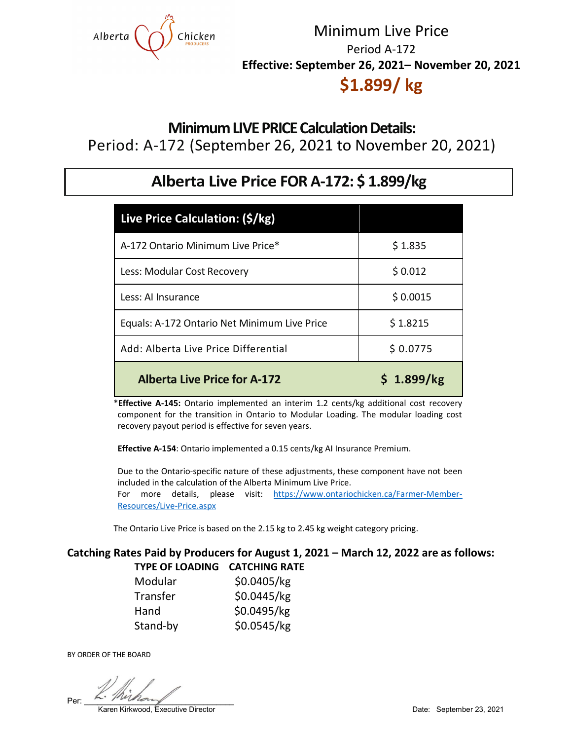

# Minimum Live Price Period A-172 **Effective: September 26, 2021– November 20, 2021**

## **\$1.899/ kg**

## **Minimum LIVE PRICE Calculation Details:**

Period: A-172 (September 26, 2021 to November 20, 2021)

## **Alberta Live Price FOR A-172: \$ 1.899/kg**

| Live Price Calculation: (\$/kg)              |            |
|----------------------------------------------|------------|
| A-172 Ontario Minimum Live Price*            | \$1.835    |
| Less: Modular Cost Recovery                  | \$0.012    |
| Less: Al Insurance                           | \$0.0015   |
| Equals: A-172 Ontario Net Minimum Live Price | \$1.8215   |
| Add: Alberta Live Price Differential         | \$0.0775   |
| <b>Alberta Live Price for A-172</b>          | \$1.899/kg |

\***Effective A-145:** Ontario implemented an interim 1.2 cents/kg additional cost recovery component for the transition in Ontario to Modular Loading. The modular loading cost recovery payout period is effective for seven years.

 **Effective A-154**: Ontario implemented a 0.15 cents/kg AI Insurance Premium.

 Due to the Ontario-specific nature of these adjustments, these component have not been included in the calculation of the Alberta Minimum Live Price. For more details, please visit: [https://www.ontariochicken.ca/Farmer-Member-](https://www.ontariochicken.ca/Farmer-Member-Resources/Live-Price.aspx)[Resources/Live-Price.aspx](https://www.ontariochicken.ca/Farmer-Member-Resources/Live-Price.aspx)

The Ontario Live Price is based on the 2.15 kg to 2.45 kg weight category pricing.

#### **Catching Rates Paid by Producers for August 1, 2021 – March 12, 2022 are as follows: TYPE OF LOADING CATCHING RATE**

| Modular  | \$0.0405/kg |
|----------|-------------|
| Transfer | \$0.0445/kg |
| Hand     | \$0.0495/kg |
| Stand-by | \$0.0545/kg |

BY ORDER OF THE BOARD

 $Per: \begin{array}{c} \sim \\ \sim \end{array}$ 

Karen Kirkwood, Executive Director Date: September 23, 2021